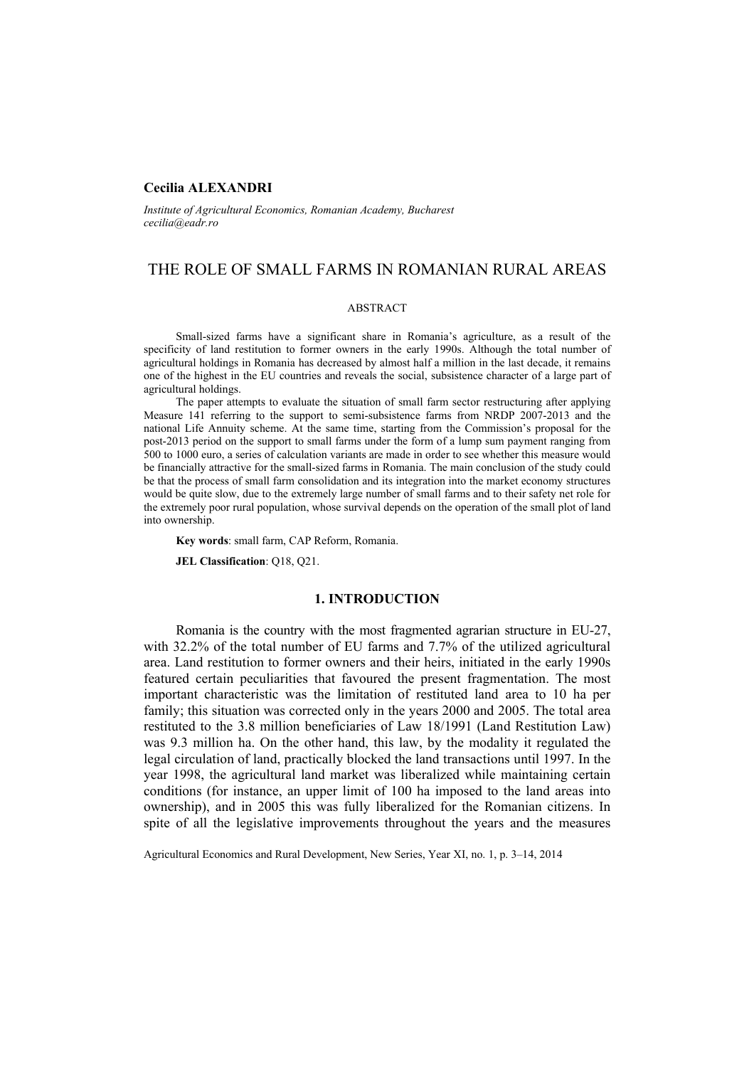### **Cecilia ALEXANDRI**

*Institute of Agricultural Economics, Romanian Academy, Bucharest cecilia@eadr.ro*

# THE ROLE OF SMALL FARMS IN ROMANIAN RURAL AREAS

#### ABSTRACT

Small-sized farms have a significant share in Romania's agriculture, as a result of the specificity of land restitution to former owners in the early 1990s. Although the total number of agricultural holdings in Romania has decreased by almost half a million in the last decade, it remains one of the highest in the EU countries and reveals the social, subsistence character of a large part of agricultural holdings.

The paper attempts to evaluate the situation of small farm sector restructuring after applying Measure 141 referring to the support to semi-subsistence farms from NRDP 2007-2013 and the national Life Annuity scheme. At the same time, starting from the Commission's proposal for the post-2013 period on the support to small farms under the form of a lump sum payment ranging from 500 to 1000 euro, a series of calculation variants are made in order to see whether this measure would be financially attractive for the small-sized farms in Romania. The main conclusion of the study could be that the process of small farm consolidation and its integration into the market economy structures would be quite slow, due to the extremely large number of small farms and to their safety net role for the extremely poor rural population, whose survival depends on the operation of the small plot of land into ownership.

**Key words**: small farm, CAP Reform, Romania.

**JEL Classification**: Q18, Q21.

### **1. INTRODUCTION**

Romania is the country with the most fragmented agrarian structure in EU-27, with 32.2% of the total number of EU farms and 7.7% of the utilized agricultural area. Land restitution to former owners and their heirs, initiated in the early 1990s featured certain peculiarities that favoured the present fragmentation. The most important characteristic was the limitation of restituted land area to 10 ha per family; this situation was corrected only in the years 2000 and 2005. The total area restituted to the 3.8 million beneficiaries of Law 18/1991 (Land Restitution Law) was 9.3 million ha. On the other hand, this law, by the modality it regulated the legal circulation of land, practically blocked the land transactions until 1997. In the year 1998, the agricultural land market was liberalized while maintaining certain conditions (for instance, an upper limit of 100 ha imposed to the land areas into ownership), and in 2005 this was fully liberalized for the Romanian citizens. In spite of all the legislative improvements throughout the years and the measures

Agricultural Economics and Rural Development, New Series, Year XI, no. 1, p. 3–14, 2014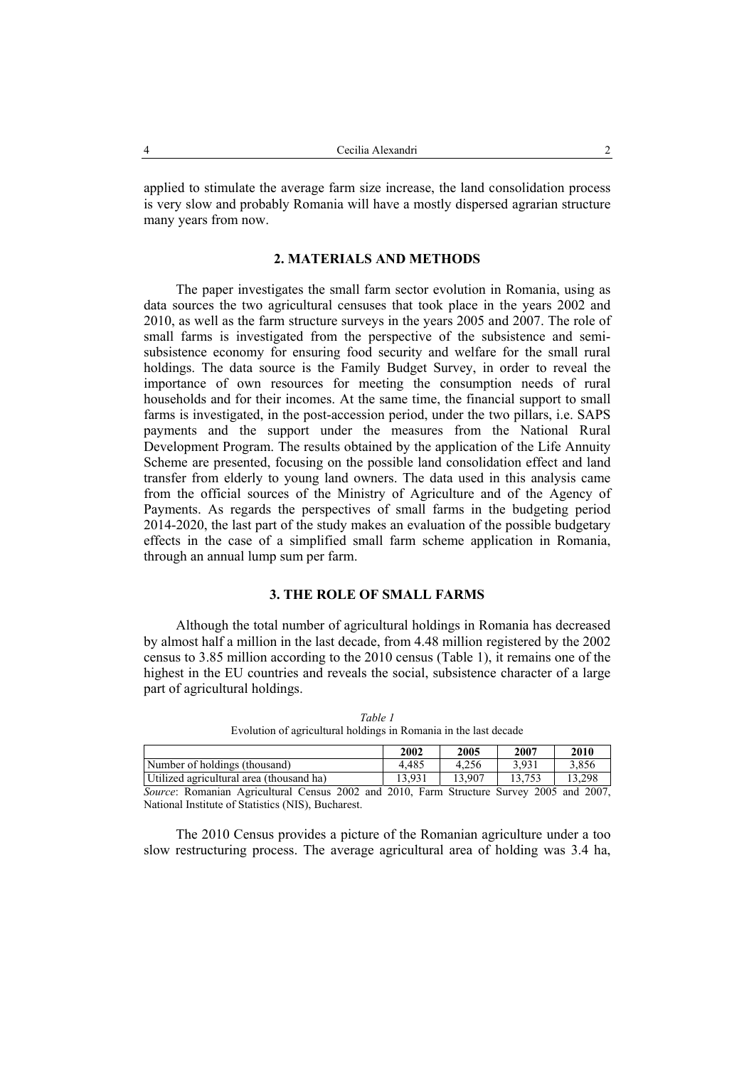applied to stimulate the average farm size increase, the land consolidation process is very slow and probably Romania will have a mostly dispersed agrarian structure many years from now.

### **2. MATERIALS AND METHODS**

The paper investigates the small farm sector evolution in Romania, using as data sources the two agricultural censuses that took place in the years 2002 and 2010, as well as the farm structure surveys in the years 2005 and 2007. The role of small farms is investigated from the perspective of the subsistence and semisubsistence economy for ensuring food security and welfare for the small rural holdings. The data source is the Family Budget Survey, in order to reveal the importance of own resources for meeting the consumption needs of rural households and for their incomes. At the same time, the financial support to small farms is investigated, in the post-accession period, under the two pillars, i.e. SAPS payments and the support under the measures from the National Rural Development Program. The results obtained by the application of the Life Annuity Scheme are presented, focusing on the possible land consolidation effect and land transfer from elderly to young land owners. The data used in this analysis came from the official sources of the Ministry of Agriculture and of the Agency of Payments. As regards the perspectives of small farms in the budgeting period 2014-2020, the last part of the study makes an evaluation of the possible budgetary effects in the case of a simplified small farm scheme application in Romania, through an annual lump sum per farm.

## **3. THE ROLE OF SMALL FARMS**

Although the total number of agricultural holdings in Romania has decreased by almost half a million in the last decade, from 4.48 million registered by the 2002 census to 3.85 million according to the 2010 census (Table 1), it remains one of the highest in the EU countries and reveals the social, subsistence character of a large part of agricultural holdings.

|                                                                                                 | 2002   | 2005   | 2007   | 2010   |
|-------------------------------------------------------------------------------------------------|--------|--------|--------|--------|
| Number of holdings (thousand)                                                                   | 4.485  | 4.256  | 3.931  | 3.856  |
| Utilized agricultural area (thousand ha)                                                        | 13.931 | 13 907 | 13.753 | 13.298 |
| <i>Source:</i> Romanian Agricultural Census 2002 and 2010, Farm Structure Survey 2005 and 2007, |        |        |        |        |

*Table 1*  Evolution of agricultural holdings in Romania in the last decade

National Institute of Statistics (NIS), Bucharest.

The 2010 Census provides a picture of the Romanian agriculture under a too slow restructuring process. The average agricultural area of holding was 3.4 ha,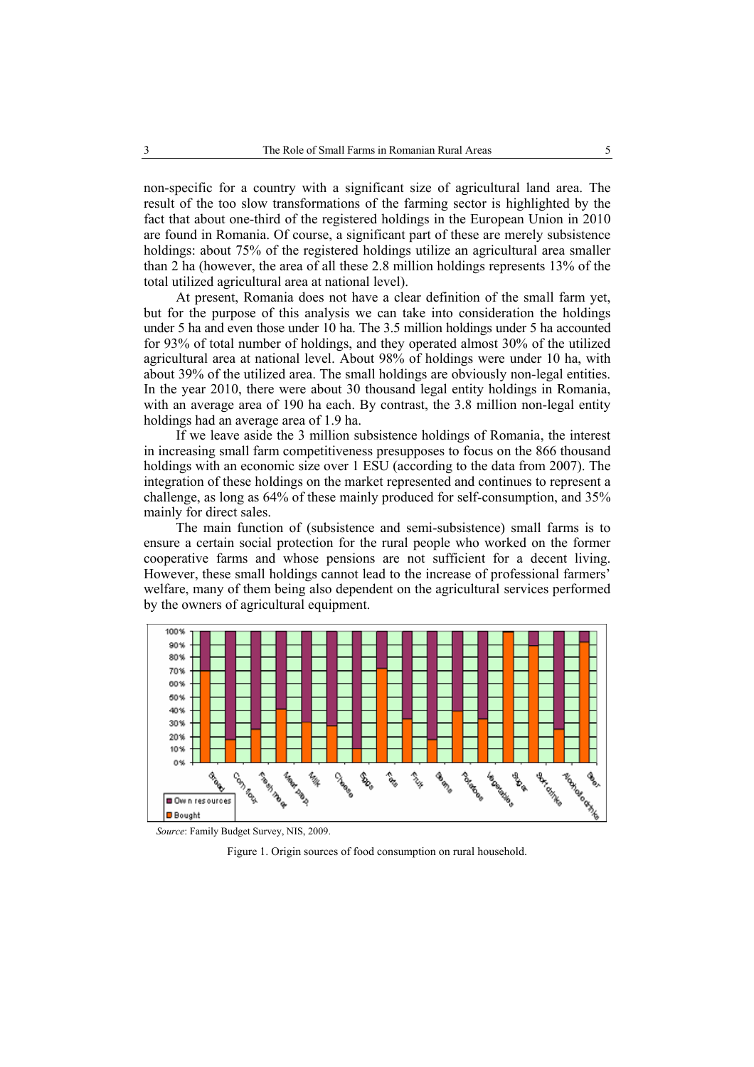non-specific for a country with a significant size of agricultural land area. The result of the too slow transformations of the farming sector is highlighted by the fact that about one-third of the registered holdings in the European Union in 2010 are found in Romania. Of course, a significant part of these are merely subsistence holdings: about 75% of the registered holdings utilize an agricultural area smaller than 2 ha (however, the area of all these 2.8 million holdings represents 13% of the total utilized agricultural area at national level).

At present, Romania does not have a clear definition of the small farm yet, but for the purpose of this analysis we can take into consideration the holdings under 5 ha and even those under 10 ha. The 3.5 million holdings under 5 ha accounted for 93% of total number of holdings, and they operated almost 30% of the utilized agricultural area at national level. About 98% of holdings were under 10 ha, with about 39% of the utilized area. The small holdings are obviously non-legal entities. In the year 2010, there were about 30 thousand legal entity holdings in Romania, with an average area of 190 ha each. By contrast, the 3.8 million non-legal entity holdings had an average area of 1.9 ha.

If we leave aside the 3 million subsistence holdings of Romania, the interest in increasing small farm competitiveness presupposes to focus on the 866 thousand holdings with an economic size over 1 ESU (according to the data from 2007). The integration of these holdings on the market represented and continues to represent a challenge, as long as 64% of these mainly produced for self-consumption, and 35% mainly for direct sales.

The main function of (subsistence and semi-subsistence) small farms is to ensure a certain social protection for the rural people who worked on the former cooperative farms and whose pensions are not sufficient for a decent living. However, these small holdings cannot lead to the increase of professional farmers' welfare, many of them being also dependent on the agricultural services performed by the owners of agricultural equipment.



 *Source*: Family Budget Survey, NIS, 2009.

Figure 1. Origin sources of food consumption on rural household.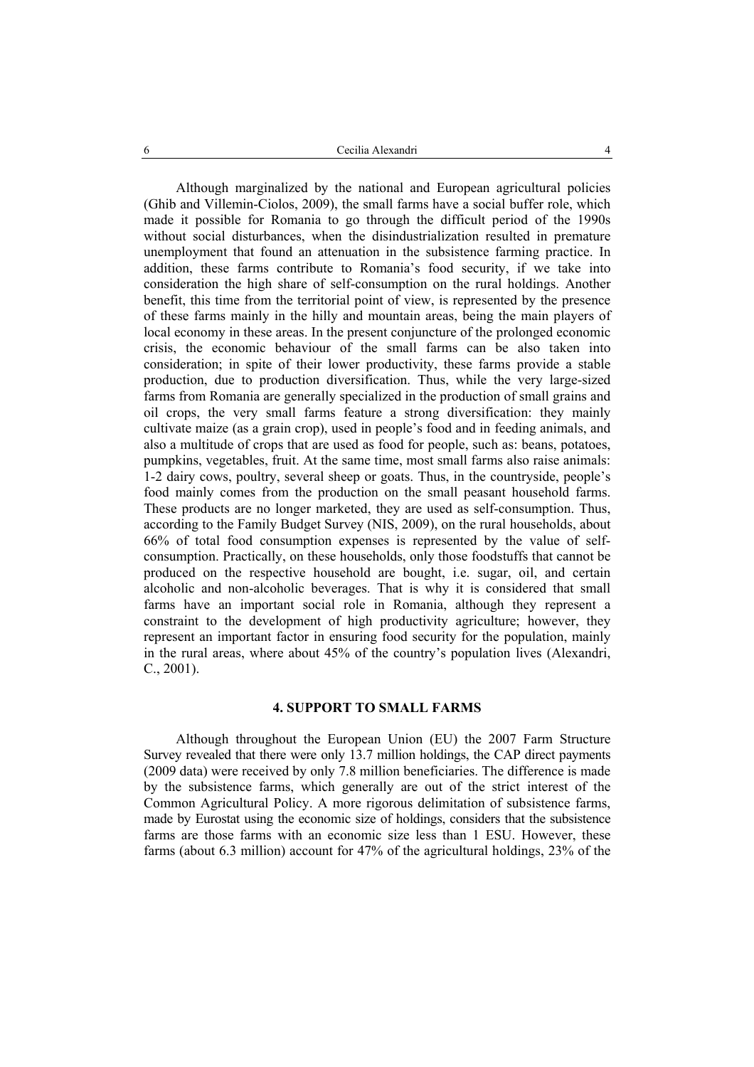Although marginalized by the national and European agricultural policies (Ghib and Villemin-Ciolos, 2009), the small farms have a social buffer role, which made it possible for Romania to go through the difficult period of the 1990s without social disturbances, when the disindustrialization resulted in premature unemployment that found an attenuation in the subsistence farming practice. In addition, these farms contribute to Romania's food security, if we take into consideration the high share of self-consumption on the rural holdings. Another benefit, this time from the territorial point of view, is represented by the presence of these farms mainly in the hilly and mountain areas, being the main players of local economy in these areas. In the present conjuncture of the prolonged economic crisis, the economic behaviour of the small farms can be also taken into consideration; in spite of their lower productivity, these farms provide a stable production, due to production diversification. Thus, while the very large-sized farms from Romania are generally specialized in the production of small grains and oil crops, the very small farms feature a strong diversification: they mainly cultivate maize (as a grain crop), used in people's food and in feeding animals, and also a multitude of crops that are used as food for people, such as: beans, potatoes, pumpkins, vegetables, fruit. At the same time, most small farms also raise animals: 1-2 dairy cows, poultry, several sheep or goats. Thus, in the countryside, people's food mainly comes from the production on the small peasant household farms. These products are no longer marketed, they are used as self-consumption. Thus, according to the Family Budget Survey (NIS, 2009), on the rural households, about 66% of total food consumption expenses is represented by the value of selfconsumption. Practically, on these households, only those foodstuffs that cannot be produced on the respective household are bought, i.e. sugar, oil, and certain alcoholic and non-alcoholic beverages. That is why it is considered that small farms have an important social role in Romania, although they represent a constraint to the development of high productivity agriculture; however, they represent an important factor in ensuring food security for the population, mainly in the rural areas, where about 45% of the country's population lives (Alexandri, C., 2001).

### **4. SUPPORT TO SMALL FARMS**

Although throughout the European Union (EU) the 2007 Farm Structure Survey revealed that there were only 13.7 million holdings, the CAP direct payments (2009 data) were received by only 7.8 million beneficiaries. The difference is made by the subsistence farms, which generally are out of the strict interest of the Common Agricultural Policy. A more rigorous delimitation of subsistence farms, made by Eurostat using the economic size of holdings, considers that the subsistence farms are those farms with an economic size less than 1 ESU. However, these farms (about 6.3 million) account for 47% of the agricultural holdings, 23% of the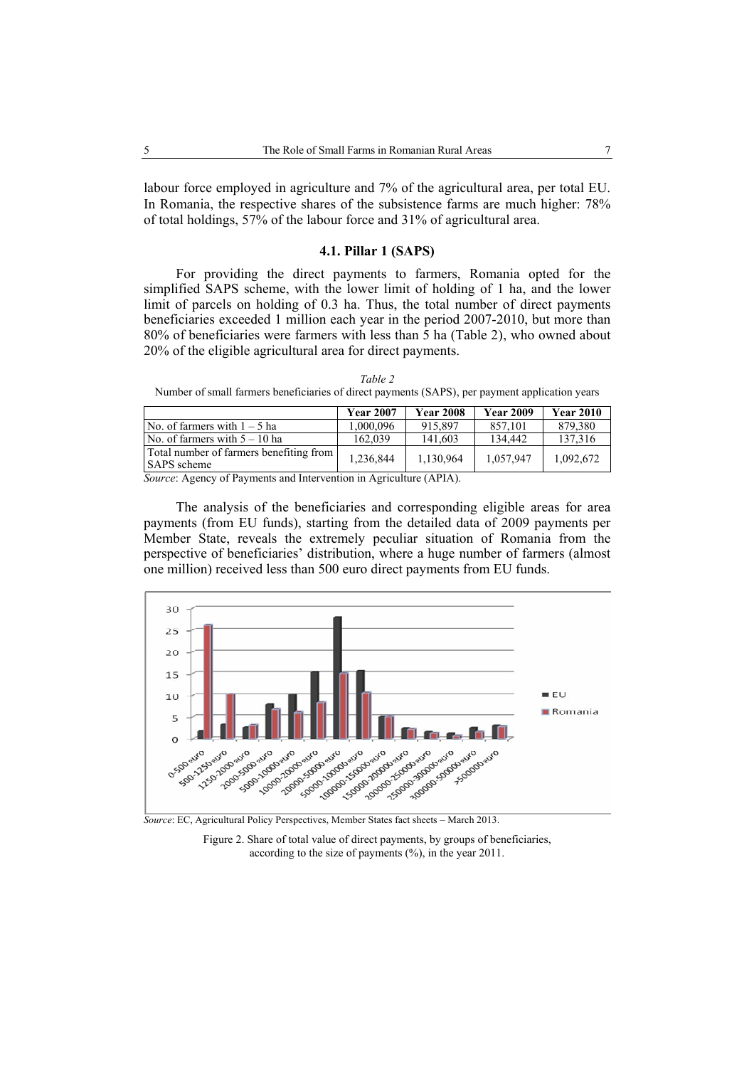labour force employed in agriculture and 7% of the agricultural area, per total EU. In Romania, the respective shares of the subsistence farms are much higher: 78% of total holdings, 57% of the labour force and 31% of agricultural area.

### **4.1. Pillar 1 (SAPS)**

For providing the direct payments to farmers, Romania opted for the simplified SAPS scheme, with the lower limit of holding of 1 ha, and the lower limit of parcels on holding of 0.3 ha. Thus, the total number of direct payments beneficiaries exceeded 1 million each year in the period 2007-2010, but more than 80% of beneficiaries were farmers with less than 5 ha (Table 2), who owned about 20% of the eligible agricultural area for direct payments.

*Table 2*  Number of small farmers beneficiaries of direct payments (SAPS), per payment application years

|                                                               | <b>Year 2007</b> | <b>Year 2008</b> | <b>Year 2009</b> | <b>Year 2010</b> |
|---------------------------------------------------------------|------------------|------------------|------------------|------------------|
| No. of farmers with $1 - 5$ ha                                | 1.000.096        | 915.897          | 857.101          | 879,380          |
| $\sqrt{N}$ No. of farmers with $5 - 10$ ha                    | 162,039          | 141.603          | 134.442          | 137.316          |
| Total number of farmers benefiting from<br><b>SAPS</b> scheme | 1,236,844        | 1,130,964        | 1,057,947        | 1,092,672        |

*Source*: Agency of Payments and Intervention in Agriculture (APIA).

The analysis of the beneficiaries and corresponding eligible areas for area payments (from EU funds), starting from the detailed data of 2009 payments per Member State, reveals the extremely peculiar situation of Romania from the perspective of beneficiaries' distribution, where a huge number of farmers (almost one million) received less than 500 euro direct payments from EU funds.



*Source*: EC, Agricultural Policy Perspectives, Member States fact sheets – March 2013.

Figure 2. Share of total value of direct payments, by groups of beneficiaries, according to the size of payments (%), in the year 2011.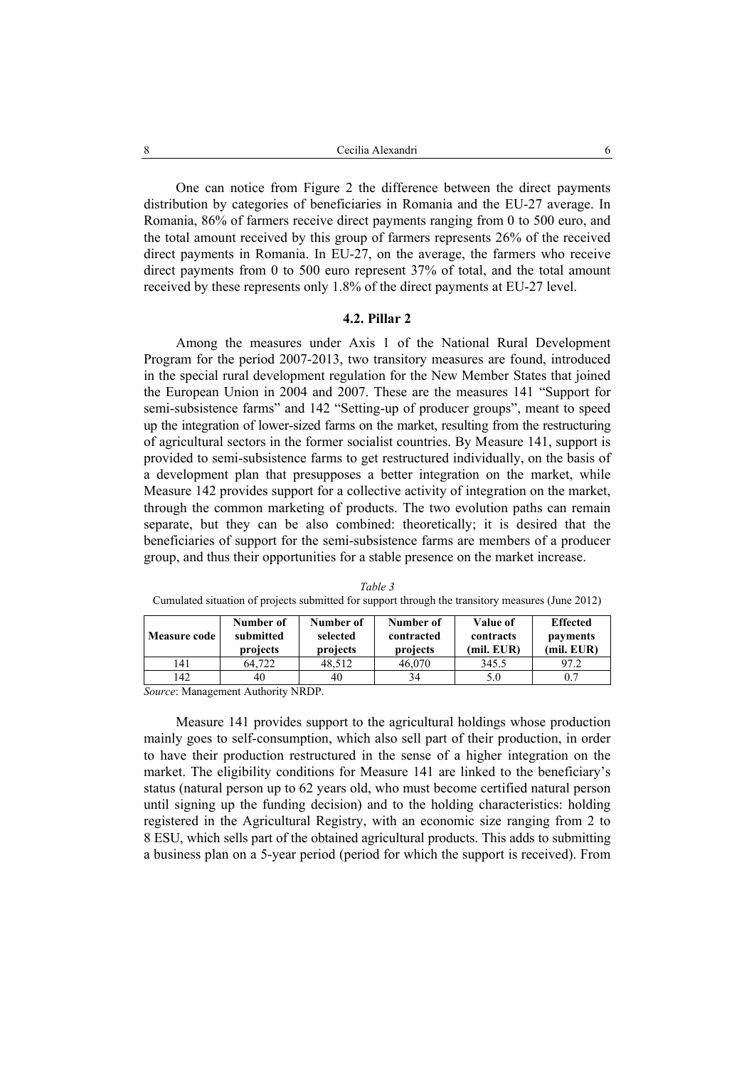One can notice from Figure 2 the difference between the direct payments distribution by categories of beneficiaries in Romania and the EU-27 average. In Romania, 86% of farmers receive direct payments ranging from 0 to 500 euro, and the total amount received by this group of farmers represents 26% of the received direct payments in Romania. In EU-27, on the average, the farmers who receive direct payments from 0 to 500 euro represent 37% of total, and the total amount received by these represents only 1.8% of the direct payments at EU-27 level.

### **4.2. Pillar 2**

Among the measures under Axis 1 of the National Rural Development Program for the period 2007-2013, two transitory measures are found, introduced in the special rural development regulation for the New Member States that joined the European Union in 2004 and 2007. These are the measures 141 "Support for semi-subsistence farms" and 142 "Setting-up of producer groups", meant to speed up the integration of lower-sized farms on the market, resulting from the restructuring of agricultural sectors in the former socialist countries. By Measure 141, support is provided to semi-subsistence farms to get restructured individually, on the basis of a development plan that presupposes a better integration on the market, while Measure 142 provides support for a collective activity of integration on the market, through the common marketing of products. The two evolution paths can remain separate, but they can be also combined: theoretically; it is desired that the beneficiaries of support for the semi-subsistence farms are members of a producer group, and thus their opportunities for a stable presence on the market increase.

| <b>Measure code</b> | Number of<br>submitted<br>projects | Number of<br>selected<br>projects | Number of<br>contracted<br>projects | Value of<br>contracts<br>(mil. EUR) | <b>Effected</b><br>payments<br>(mil. EUR) |
|---------------------|------------------------------------|-----------------------------------|-------------------------------------|-------------------------------------|-------------------------------------------|
| 141                 | 64.722                             | 48.512                            | 46,070                              | 345.5                               | 97.2                                      |
| 142                 | 40                                 | 40                                | 34                                  | 5.0                                 | 0.7                                       |

*Table 3*  Cumulated situation of projects submitted for support through the transitory measures (June 2012)

*Source*: Management Authority NRDP.

Measure 141 provides support to the agricultural holdings whose production mainly goes to self-consumption, which also sell part of their production, in order to have their production restructured in the sense of a higher integration on the market. The eligibility conditions for Measure 141 are linked to the beneficiary's status (natural person up to 62 years old, who must become certified natural person until signing up the funding decision) and to the holding characteristics: holding registered in the Agricultural Registry, with an economic size ranging from 2 to 8 ESU, which sells part of the obtained agricultural products. This adds to submitting a business plan on a 5-year period (period for which the support is received). From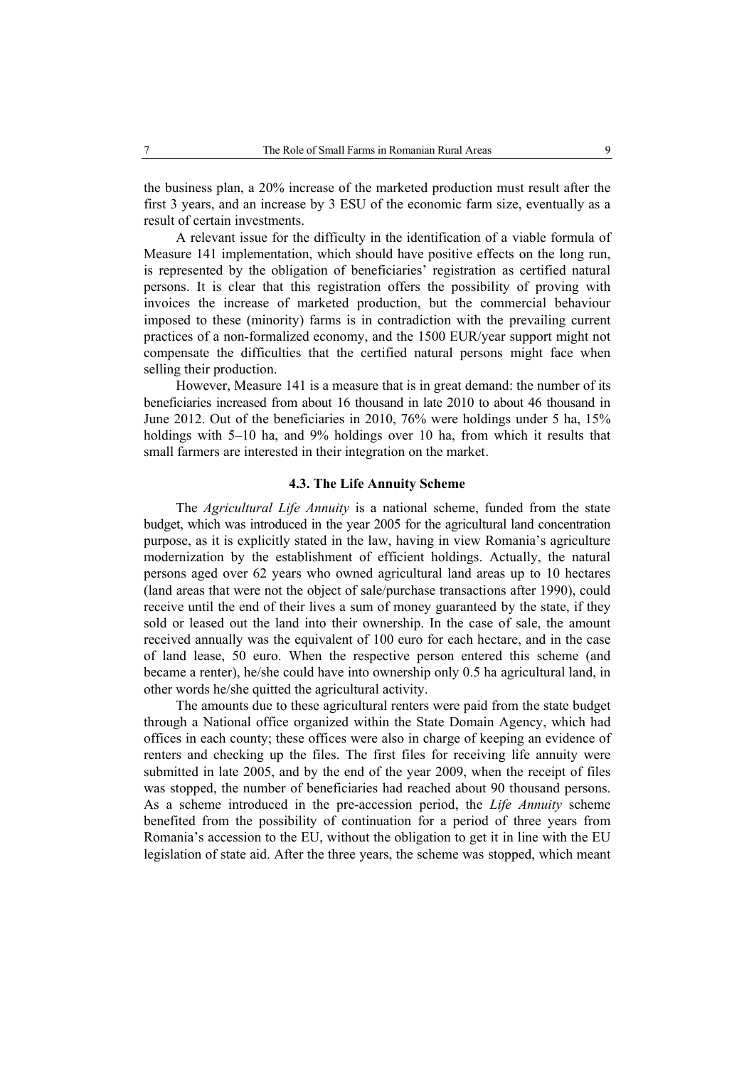the business plan, a 20% increase of the marketed production must result after the first 3 years, and an increase by 3 ESU of the economic farm size, eventually as a result of certain investments.

A relevant issue for the difficulty in the identification of a viable formula of Measure 141 implementation, which should have positive effects on the long run, is represented by the obligation of beneficiaries' registration as certified natural persons. It is clear that this registration offers the possibility of proving with invoices the increase of marketed production, but the commercial behaviour imposed to these (minority) farms is in contradiction with the prevailing current practices of a non-formalized economy, and the 1500 EUR/year support might not compensate the difficulties that the certified natural persons might face when selling their production.

However, Measure 141 is a measure that is in great demand: the number of its beneficiaries increased from about 16 thousand in late 2010 to about 46 thousand in June 2012. Out of the beneficiaries in 2010, 76% were holdings under 5 ha, 15% holdings with 5–10 ha, and 9% holdings over 10 ha, from which it results that small farmers are interested in their integration on the market.

### **4.3. The Life Annuity Scheme**

The *Agricultural Life Annuity* is a national scheme, funded from the state budget, which was introduced in the year 2005 for the agricultural land concentration purpose, as it is explicitly stated in the law, having in view Romania's agriculture modernization by the establishment of efficient holdings. Actually, the natural persons aged over 62 years who owned agricultural land areas up to 10 hectares (land areas that were not the object of sale/purchase transactions after 1990), could receive until the end of their lives a sum of money guaranteed by the state, if they sold or leased out the land into their ownership. In the case of sale, the amount received annually was the equivalent of 100 euro for each hectare, and in the case of land lease, 50 euro. When the respective person entered this scheme (and became a renter), he/she could have into ownership only 0.5 ha agricultural land, in other words he/she quitted the agricultural activity.

The amounts due to these agricultural renters were paid from the state budget through a National office organized within the State Domain Agency, which had offices in each county; these offices were also in charge of keeping an evidence of renters and checking up the files. The first files for receiving life annuity were submitted in late 2005, and by the end of the year 2009, when the receipt of files was stopped, the number of beneficiaries had reached about 90 thousand persons. As a scheme introduced in the pre-accession period, the *Life Annuity* scheme benefited from the possibility of continuation for a period of three years from Romania's accession to the EU, without the obligation to get it in line with the EU legislation of state aid. After the three years, the scheme was stopped, which meant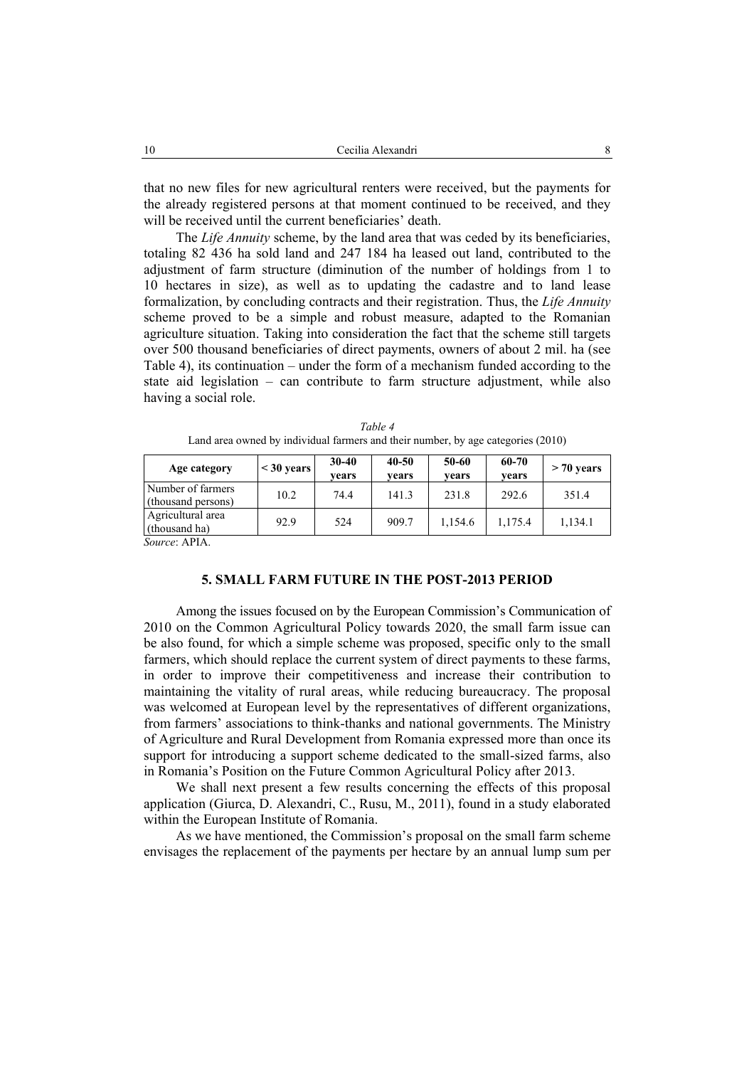that no new files for new agricultural renters were received, but the payments for the already registered persons at that moment continued to be received, and they will be received until the current beneficiaries' death.

The *Life Annuity* scheme, by the land area that was ceded by its beneficiaries, totaling 82 436 ha sold land and 247 184 ha leased out land, contributed to the adjustment of farm structure (diminution of the number of holdings from 1 to 10 hectares in size), as well as to updating the cadastre and to land lease formalization, by concluding contracts and their registration. Thus, the *Life Annuity*  scheme proved to be a simple and robust measure, adapted to the Romanian agriculture situation. Taking into consideration the fact that the scheme still targets over 500 thousand beneficiaries of direct payments, owners of about 2 mil. ha (see Table 4), its continuation – under the form of a mechanism funded according to the state aid legislation – can contribute to farm structure adjustment, while also having a social role.

| Age category                            | $<$ 30 years | $30 - 40$<br>vears | 40-50<br>vears | 50-60<br>vears | 60-70<br>years | $> 70$ years |
|-----------------------------------------|--------------|--------------------|----------------|----------------|----------------|--------------|
| Number of farmers<br>(thousand persons) | 10.2         | 74.4               | 141.3          | 231.8          | 292.6          | 351.4        |
| Agricultural area<br>(thousand ha)      | 92.9         | 524                | 909.7          | 1,154.6        | 1.175.4        | 1,134.1      |
| $S_{OLWCO}$ : A DI A                    |              |                    |                |                |                |              |

| Table 4                                                                          |  |
|----------------------------------------------------------------------------------|--|
| Land area owned by individual farmers and their number, by age categories (2010) |  |

*Source*: APIA.

### **5. SMALL FARM FUTURE IN THE POST-2013 PERIOD**

Among the issues focused on by the European Commission's Communication of 2010 on the Common Agricultural Policy towards 2020, the small farm issue can be also found, for which a simple scheme was proposed, specific only to the small farmers, which should replace the current system of direct payments to these farms, in order to improve their competitiveness and increase their contribution to maintaining the vitality of rural areas, while reducing bureaucracy. The proposal was welcomed at European level by the representatives of different organizations, from farmers' associations to think-thanks and national governments. The Ministry of Agriculture and Rural Development from Romania expressed more than once its support for introducing a support scheme dedicated to the small-sized farms, also in Romania's Position on the Future Common Agricultural Policy after 2013.

We shall next present a few results concerning the effects of this proposal application (Giurca, D. Alexandri, C., Rusu, M., 2011), found in a study elaborated within the European Institute of Romania.

As we have mentioned, the Commission's proposal on the small farm scheme envisages the replacement of the payments per hectare by an annual lump sum per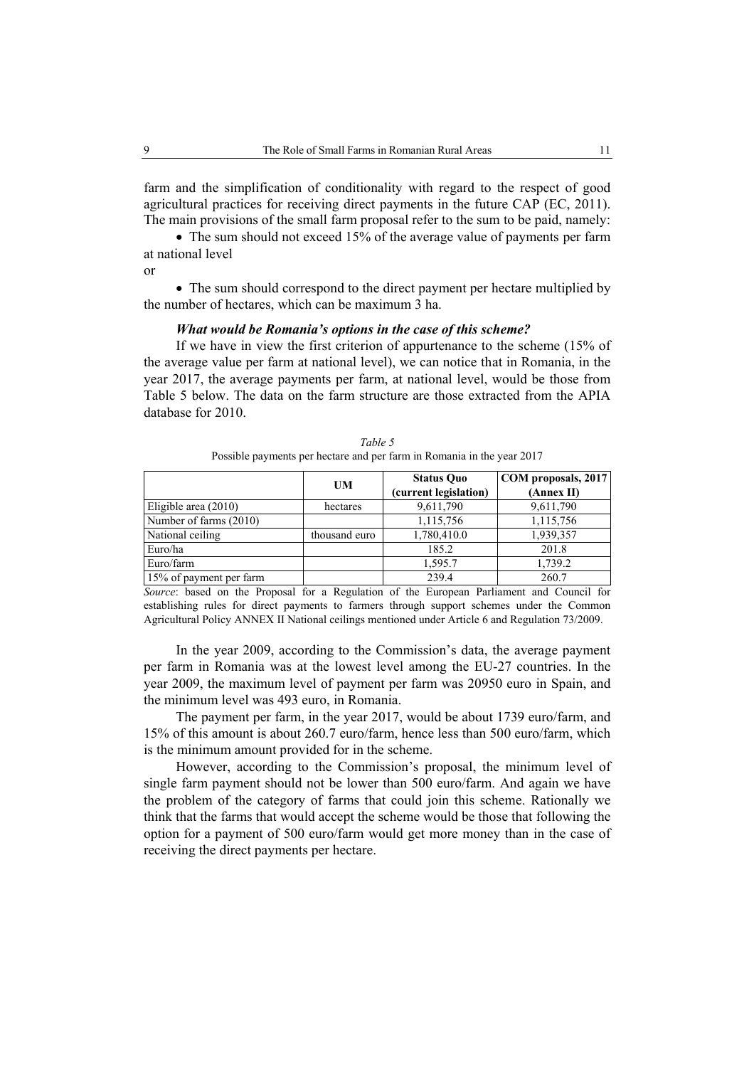farm and the simplification of conditionality with regard to the respect of good agricultural practices for receiving direct payments in the future CAP (EC, 2011). The main provisions of the small farm proposal refer to the sum to be paid, namely:

• The sum should not exceed 15% of the average value of payments per farm at national level

or

• The sum should correspond to the direct payment per hectare multiplied by the number of hectares, which can be maximum 3 ha.

### *What would be Romania's options in the case of this scheme?*

If we have in view the first criterion of appurtenance to the scheme (15% of the average value per farm at national level), we can notice that in Romania, in the year 2017, the average payments per farm, at national level, would be those from Table 5 below. The data on the farm structure are those extracted from the APIA database for 2010.

|                         | UM            | <b>Status Ouo</b><br>(current legislation) | COM proposals, 2017<br>(Annex II) |
|-------------------------|---------------|--------------------------------------------|-----------------------------------|
| Eligible area (2010)    | hectares      | 9,611,790                                  | 9,611,790                         |
| Number of farms (2010)  |               | 1,115,756                                  | 1,115,756                         |
| National ceiling        | thousand euro | 1,780,410.0                                | 1,939,357                         |
| Euro/ha                 |               | 185.2                                      | 201.8                             |
| Euro/farm               |               | 1,595.7                                    | 1,739.2                           |
| 15% of payment per farm |               | 239.4                                      | 260.7                             |

*Table 5*  Possible payments per hectare and per farm in Romania in the year 2017

*Source*: based on the Proposal for a Regulation of the European Parliament and Council for establishing rules for direct payments to farmers through support schemes under the Common Agricultural Policy ANNEX II National ceilings mentioned under Article 6 and Regulation 73/2009.

In the year 2009, according to the Commission's data, the average payment per farm in Romania was at the lowest level among the EU-27 countries. In the year 2009, the maximum level of payment per farm was 20950 euro in Spain, and the minimum level was 493 euro, in Romania.

The payment per farm, in the year 2017, would be about 1739 euro/farm, and 15% of this amount is about 260.7 euro/farm, hence less than 500 euro/farm, which is the minimum amount provided for in the scheme.

However, according to the Commission's proposal, the minimum level of single farm payment should not be lower than 500 euro/farm. And again we have the problem of the category of farms that could join this scheme. Rationally we think that the farms that would accept the scheme would be those that following the option for a payment of 500 euro/farm would get more money than in the case of receiving the direct payments per hectare.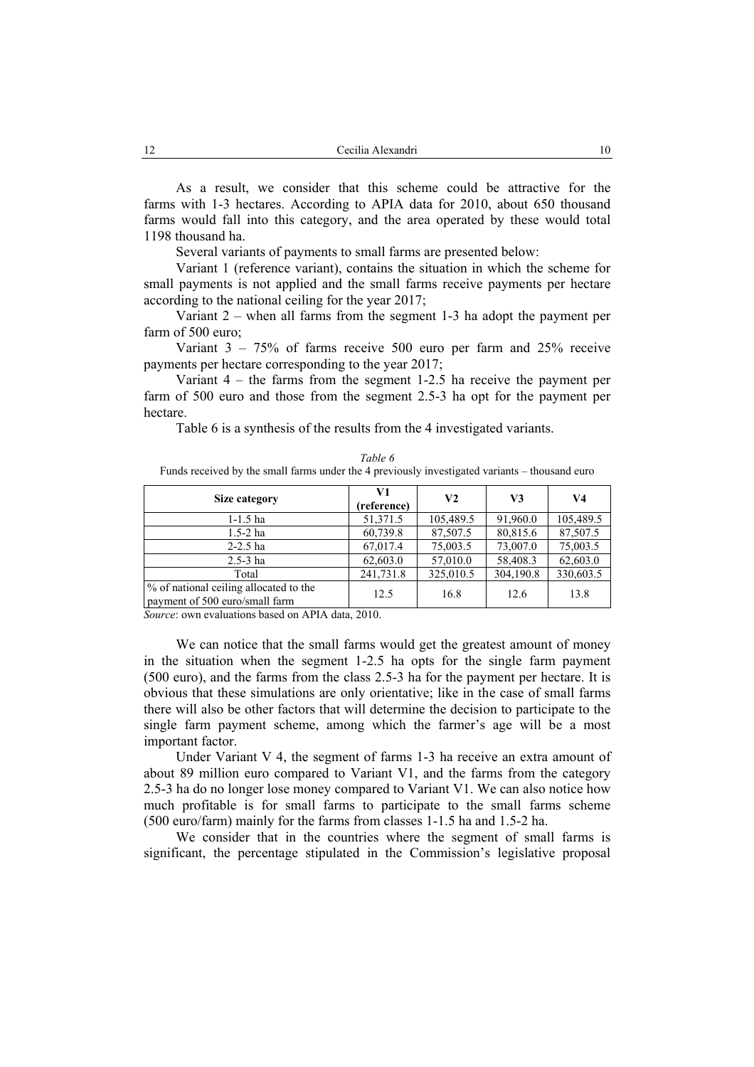As a result, we consider that this scheme could be attractive for the farms with 1-3 hectares. According to APIA data for 2010, about 650 thousand farms would fall into this category, and the area operated by these would total 1198 thousand ha.

Several variants of payments to small farms are presented below:

Variant 1 (reference variant), contains the situation in which the scheme for small payments is not applied and the small farms receive payments per hectare according to the national ceiling for the year 2017;

Variant 2 – when all farms from the segment 1-3 ha adopt the payment per farm of 500 euro;

Variant  $3 - 75\%$  of farms receive 500 euro per farm and 25% receive payments per hectare corresponding to the year 2017;

Variant 4 – the farms from the segment 1-2.5 ha receive the payment per farm of 500 euro and those from the segment 2.5-3 ha opt for the payment per hectare.

Table 6 is a synthesis of the results from the 4 investigated variants.

| Table 6                                                                                        |
|------------------------------------------------------------------------------------------------|
| Funds received by the small farms under the 4 previously investigated variants – thousand euro |

| Size category                                                            | V1<br>(reference) | V <sub>2</sub> | V3        | V4        |
|--------------------------------------------------------------------------|-------------------|----------------|-----------|-----------|
| $1 - 1.5$ ha                                                             | 51,371.5          | 105,489.5      | 91,960.0  | 105,489.5 |
| $1.5 - 2$ ha                                                             | 60,739.8          | 87,507.5       | 80,815.6  | 87,507.5  |
| $2 - 2.5$ ha                                                             | 67,017.4          | 75,003.5       | 73,007.0  | 75,003.5  |
| $2.5 - 3$ ha                                                             | 62,603.0          | 57,010.0       | 58,408.3  | 62,603.0  |
| Total                                                                    | 241,731.8         | 325,010.5      | 304,190.8 | 330,603.5 |
| % of national ceiling allocated to the<br>payment of 500 euro/small farm | 12.5              | 16.8           | 12.6      | 13.8      |

*Source*: own evaluations based on APIA data, 2010.

We can notice that the small farms would get the greatest amount of money in the situation when the segment 1-2.5 ha opts for the single farm payment (500 euro), and the farms from the class 2.5-3 ha for the payment per hectare. It is obvious that these simulations are only orientative; like in the case of small farms there will also be other factors that will determine the decision to participate to the single farm payment scheme, among which the farmer's age will be a most important factor.

Under Variant V 4, the segment of farms 1-3 ha receive an extra amount of about 89 million euro compared to Variant V1, and the farms from the category 2.5-3 ha do no longer lose money compared to Variant V1. We can also notice how much profitable is for small farms to participate to the small farms scheme (500 euro/farm) mainly for the farms from classes 1-1.5 ha and 1.5-2 ha.

We consider that in the countries where the segment of small farms is significant, the percentage stipulated in the Commission's legislative proposal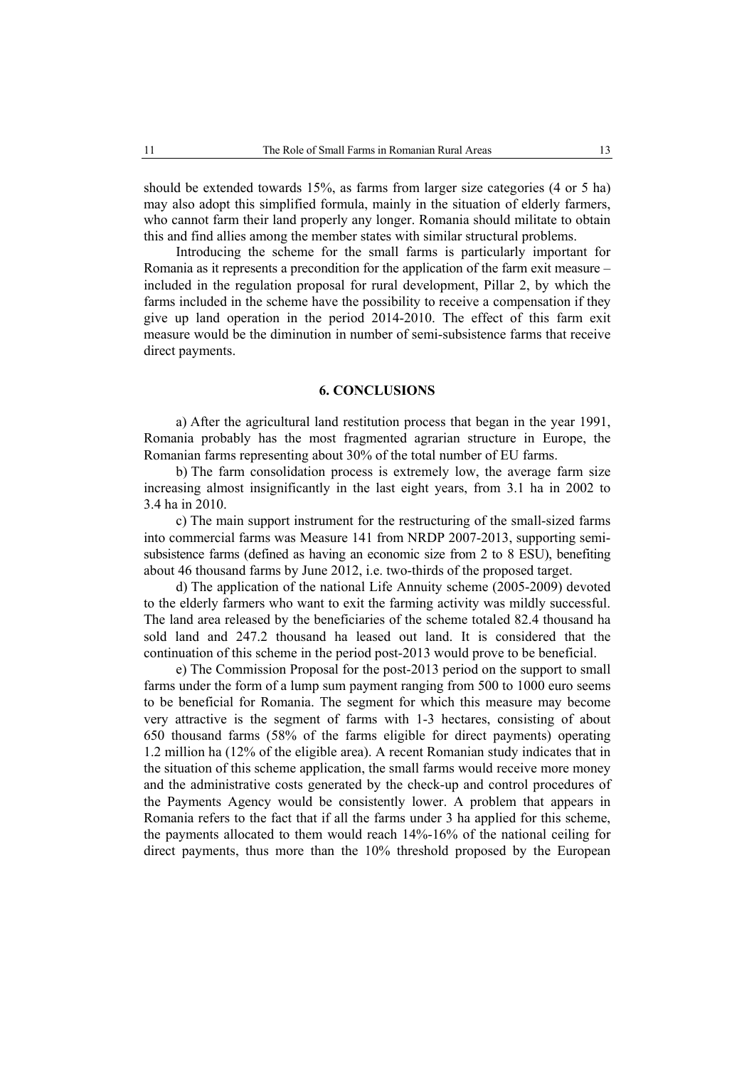should be extended towards 15%, as farms from larger size categories (4 or 5 ha) may also adopt this simplified formula, mainly in the situation of elderly farmers, who cannot farm their land properly any longer. Romania should militate to obtain this and find allies among the member states with similar structural problems.

Introducing the scheme for the small farms is particularly important for Romania as it represents a precondition for the application of the farm exit measure – included in the regulation proposal for rural development, Pillar 2, by which the farms included in the scheme have the possibility to receive a compensation if they give up land operation in the period 2014-2010. The effect of this farm exit measure would be the diminution in number of semi-subsistence farms that receive direct payments.

### **6. CONCLUSIONS**

a) After the agricultural land restitution process that began in the year 1991, Romania probably has the most fragmented agrarian structure in Europe, the Romanian farms representing about 30% of the total number of EU farms.

b) The farm consolidation process is extremely low, the average farm size increasing almost insignificantly in the last eight years, from 3.1 ha in 2002 to 3.4 ha in 2010.

c) The main support instrument for the restructuring of the small-sized farms into commercial farms was Measure 141 from NRDP 2007-2013, supporting semisubsistence farms (defined as having an economic size from 2 to 8 ESU), benefiting about 46 thousand farms by June 2012, i.e. two-thirds of the proposed target.

d) The application of the national Life Annuity scheme (2005-2009) devoted to the elderly farmers who want to exit the farming activity was mildly successful. The land area released by the beneficiaries of the scheme totaled 82.4 thousand ha sold land and 247.2 thousand ha leased out land. It is considered that the continuation of this scheme in the period post-2013 would prove to be beneficial.

e) The Commission Proposal for the post-2013 period on the support to small farms under the form of a lump sum payment ranging from 500 to 1000 euro seems to be beneficial for Romania. The segment for which this measure may become very attractive is the segment of farms with 1-3 hectares, consisting of about 650 thousand farms (58% of the farms eligible for direct payments) operating 1.2 million ha (12% of the eligible area). A recent Romanian study indicates that in the situation of this scheme application, the small farms would receive more money and the administrative costs generated by the check-up and control procedures of the Payments Agency would be consistently lower. A problem that appears in Romania refers to the fact that if all the farms under 3 ha applied for this scheme, the payments allocated to them would reach 14%-16% of the national ceiling for direct payments, thus more than the 10% threshold proposed by the European